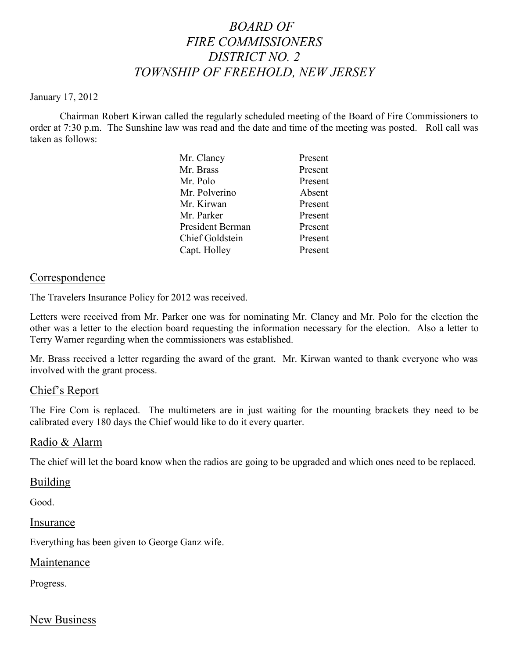# *BOARD OF FIRE COMMISSIONERS DISTRICT NO. 2 TOWNSHIP OF FREEHOLD, NEW JERSEY*

#### January 17, 2012

Chairman Robert Kirwan called the regularly scheduled meeting of the Board of Fire Commissioners to order at 7:30 p.m. The Sunshine law was read and the date and time of the meeting was posted. Roll call was taken as follows:

| Present |
|---------|
| Present |
| Present |
| Absent  |
| Present |
| Present |
| Present |
| Present |
| Present |
|         |

### **Correspondence**

The Travelers Insurance Policy for 2012 was received.

Letters were received from Mr. Parker one was for nominating Mr. Clancy and Mr. Polo for the election the other was a letter to the election board requesting the information necessary for the election. Also a letter to Terry Warner regarding when the commissioners was established.

Mr. Brass received a letter regarding the award of the grant. Mr. Kirwan wanted to thank everyone who was involved with the grant process.

## Chief's Report

The Fire Com is replaced. The multimeters are in just waiting for the mounting brackets they need to be calibrated every 180 days the Chief would like to do it every quarter.

### Radio & Alarm

The chief will let the board know when the radios are going to be upgraded and which ones need to be replaced.

### Building

Good.

Insurance

Everything has been given to George Ganz wife.

Maintenance

Progress.

New Business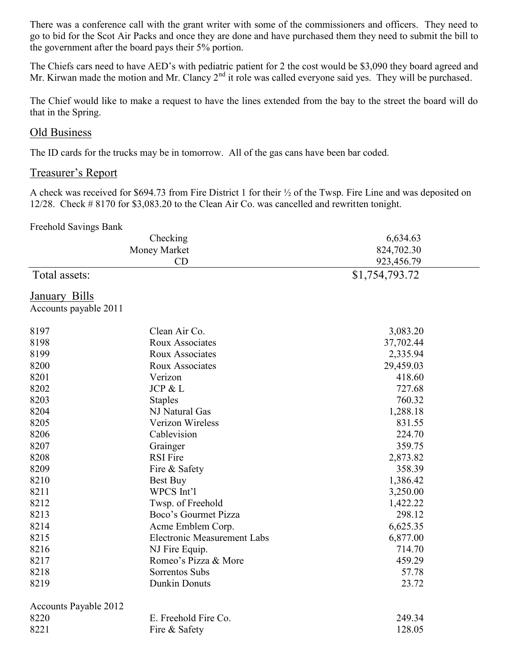There was a conference call with the grant writer with some of the commissioners and officers. They need to go to bid for the Scot Air Packs and once they are done and have purchased them they need to submit the bill to the government after the board pays their 5% portion.

The Chiefs cars need to have AED's with pediatric patient for 2 the cost would be \$3,090 they board agreed and Mr. Kirwan made the motion and Mr. Clancy 2<sup>nd</sup> it role was called everyone said yes. They will be purchased.

The Chief would like to make a request to have the lines extended from the bay to the street the board will do that in the Spring.

# Old Business

The ID cards for the trucks may be in tomorrow. All of the gas cans have been bar coded.

# Treasurer's Report

A check was received for \$694.73 from Fire District 1 for their ½ of the Twsp. Fire Line and was deposited on 12/28. Check # 8170 for \$3,083.20 to the Clean Air Co. was cancelled and rewritten tonight.

#### Freehold Savings Bank

| Checking<br>Money Market     |                                    | 6,634.63       |  |
|------------------------------|------------------------------------|----------------|--|
|                              |                                    | 824,702.30     |  |
|                              | CD                                 | 923,456.79     |  |
| Total assets:                |                                    | \$1,754,793.72 |  |
| <b>January Bills</b>         |                                    |                |  |
| Accounts payable 2011        |                                    |                |  |
| 8197                         | Clean Air Co.                      | 3,083.20       |  |
| 8198                         | Roux Associates                    | 37,702.44      |  |
| 8199                         | Roux Associates                    | 2,335.94       |  |
| 8200                         | Roux Associates                    | 29,459.03      |  |
| 8201                         | Verizon                            | 418.60         |  |
| 8202                         | JCP & L                            | 727.68         |  |
| 8203                         | <b>Staples</b>                     | 760.32         |  |
| 8204                         | NJ Natural Gas                     | 1,288.18       |  |
| 8205                         | Verizon Wireless                   | 831.55         |  |
| 8206                         | Cablevision                        | 224.70         |  |
| 8207                         | Grainger                           | 359.75         |  |
| 8208                         | <b>RSI</b> Fire                    | 2,873.82       |  |
| 8209                         | Fire & Safety                      | 358.39         |  |
| 8210                         | Best Buy                           | 1,386.42       |  |
| 8211                         | WPCS Int'l                         | 3,250.00       |  |
| 8212                         | Twsp. of Freehold                  | 1,422.22       |  |
| 8213                         | Boco's Gourmet Pizza               | 298.12         |  |
| 8214                         | Acme Emblem Corp.                  | 6,625.35       |  |
| 8215                         | <b>Electronic Measurement Labs</b> | 6,877.00       |  |
| 8216                         | NJ Fire Equip.                     | 714.70         |  |
| 8217                         | Romeo's Pizza & More               | 459.29         |  |
| 8218                         | Sorrentos Subs                     | 57.78          |  |
| 8219                         | <b>Dunkin Donuts</b>               | 23.72          |  |
| <b>Accounts Payable 2012</b> |                                    |                |  |
| 8220                         | E. Freehold Fire Co.               | 249.34         |  |
| 8221                         | Fire & Safety                      | 128.05         |  |